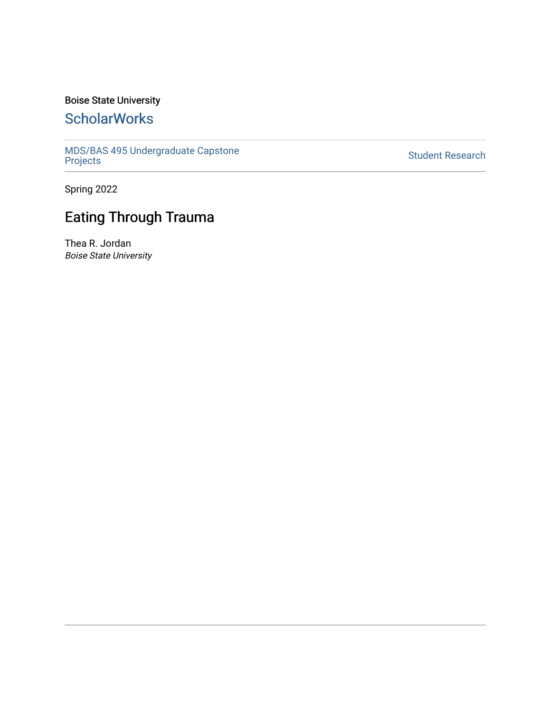### Boise State University

## **ScholarWorks**

[MDS/BAS 495 Undergraduate Capstone](https://scholarworks.boisestate.edu/mds495_proj)  [Projects](https://scholarworks.boisestate.edu/mds495_proj) [Student Research](https://scholarworks.boisestate.edu/student_research) 

Spring 2022

# Eating Through Trauma

Thea R. Jordan Boise State University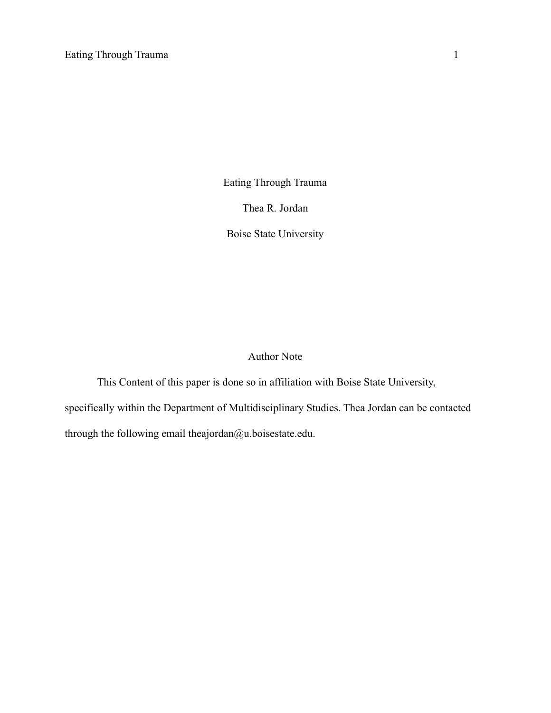Eating Through Trauma

Thea R. Jordan

Boise State University

## Author Note

This Content of this paper is done so in affiliation with Boise State University, specifically within the Department of Multidisciplinary Studies. Thea Jordan can be contacted through the following email theajordan@u.boisestate.edu.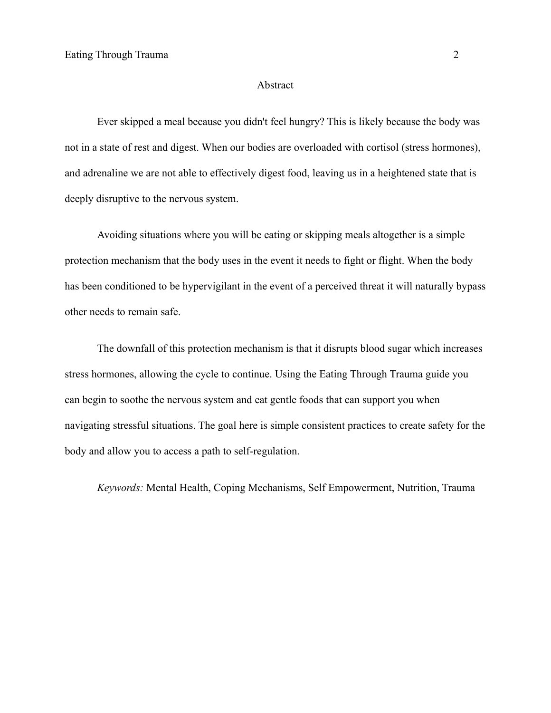#### Abstract

Ever skipped a meal because you didn't feel hungry? This is likely because the body was not in a state of rest and digest. When our bodies are overloaded with cortisol (stress hormones), and adrenaline we are not able to effectively digest food, leaving us in a heightened state that is deeply disruptive to the nervous system.

Avoiding situations where you will be eating or skipping meals altogether is a simple protection mechanism that the body uses in the event it needs to fight or flight. When the body has been conditioned to be hypervigilant in the event of a perceived threat it will naturally bypass other needs to remain safe.

The downfall of this protection mechanism is that it disrupts blood sugar which increases stress hormones, allowing the cycle to continue. Using the Eating Through Trauma guide you can begin to soothe the nervous system and eat gentle foods that can support you when navigating stressful situations. The goal here is simple consistent practices to create safety for the body and allow you to access a path to self-regulation.

*Keywords:* Mental Health, Coping Mechanisms, Self Empowerment, Nutrition, Trauma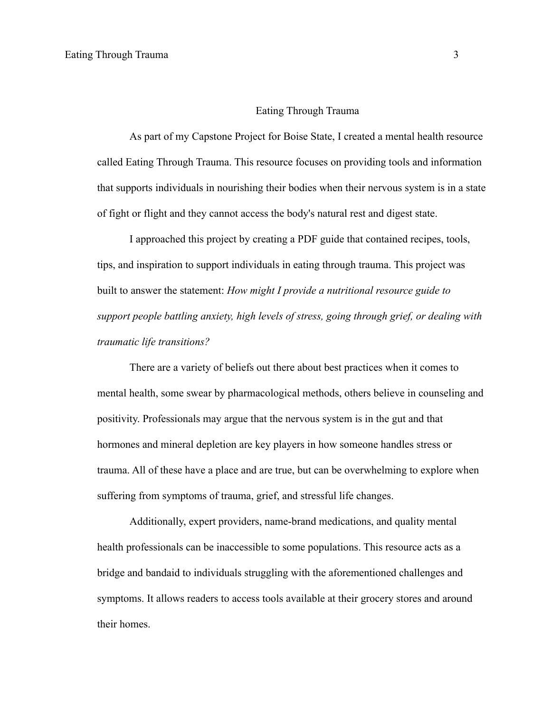#### Eating Through Trauma

As part of my Capstone Project for Boise State, I created a mental health resource called Eating Through Trauma. This resource focuses on providing tools and information that supports individuals in nourishing their bodies when their nervous system is in a state of fight or flight and they cannot access the body's natural rest and digest state.

I approached this project by creating a PDF guide that contained recipes, tools, tips, and inspiration to support individuals in eating through trauma. This project was built to answer the statement: *How might I provide a nutritional resource guide to support people battling anxiety, high levels of stress, going through grief, or dealing with traumatic life transitions?*

There are a variety of beliefs out there about best practices when it comes to mental health, some swear by pharmacological methods, others believe in counseling and positivity. Professionals may argue that the nervous system is in the gut and that hormones and mineral depletion are key players in how someone handles stress or trauma. All of these have a place and are true, but can be overwhelming to explore when suffering from symptoms of trauma, grief, and stressful life changes.

Additionally, expert providers, name-brand medications, and quality mental health professionals can be inaccessible to some populations. This resource acts as a bridge and bandaid to individuals struggling with the aforementioned challenges and symptoms. It allows readers to access tools available at their grocery stores and around their homes.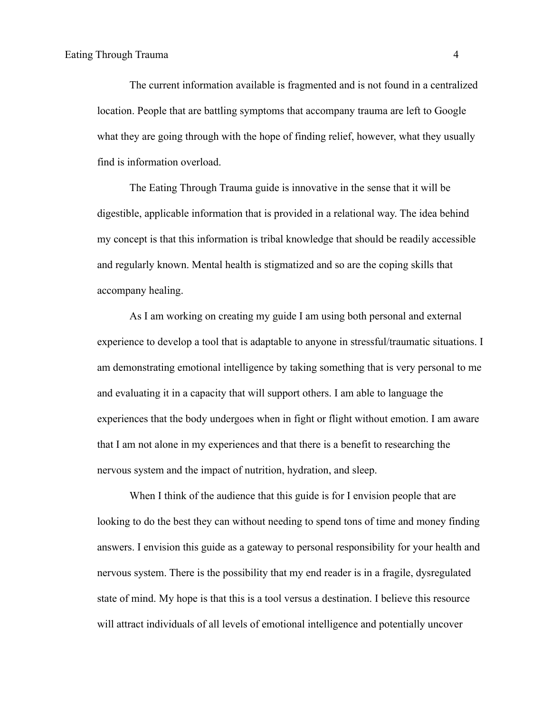The current information available is fragmented and is not found in a centralized location. People that are battling symptoms that accompany trauma are left to Google what they are going through with the hope of finding relief, however, what they usually find is information overload.

The Eating Through Trauma guide is innovative in the sense that it will be digestible, applicable information that is provided in a relational way. The idea behind my concept is that this information is tribal knowledge that should be readily accessible and regularly known. Mental health is stigmatized and so are the coping skills that accompany healing.

As I am working on creating my guide I am using both personal and external experience to develop a tool that is adaptable to anyone in stressful/traumatic situations. I am demonstrating emotional intelligence by taking something that is very personal to me and evaluating it in a capacity that will support others. I am able to language the experiences that the body undergoes when in fight or flight without emotion. I am aware that I am not alone in my experiences and that there is a benefit to researching the nervous system and the impact of nutrition, hydration, and sleep.

When I think of the audience that this guide is for I envision people that are looking to do the best they can without needing to spend tons of time and money finding answers. I envision this guide as a gateway to personal responsibility for your health and nervous system. There is the possibility that my end reader is in a fragile, dysregulated state of mind. My hope is that this is a tool versus a destination. I believe this resource will attract individuals of all levels of emotional intelligence and potentially uncover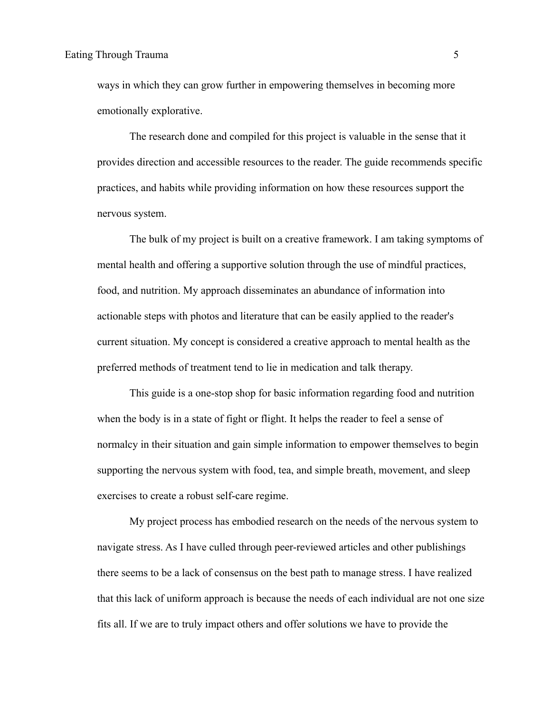ways in which they can grow further in empowering themselves in becoming more emotionally explorative.

The research done and compiled for this project is valuable in the sense that it provides direction and accessible resources to the reader. The guide recommends specific practices, and habits while providing information on how these resources support the nervous system.

The bulk of my project is built on a creative framework. I am taking symptoms of mental health and offering a supportive solution through the use of mindful practices, food, and nutrition. My approach disseminates an abundance of information into actionable steps with photos and literature that can be easily applied to the reader's current situation. My concept is considered a creative approach to mental health as the preferred methods of treatment tend to lie in medication and talk therapy.

This guide is a one-stop shop for basic information regarding food and nutrition when the body is in a state of fight or flight. It helps the reader to feel a sense of normalcy in their situation and gain simple information to empower themselves to begin supporting the nervous system with food, tea, and simple breath, movement, and sleep exercises to create a robust self-care regime.

My project process has embodied research on the needs of the nervous system to navigate stress. As I have culled through peer-reviewed articles and other publishings there seems to be a lack of consensus on the best path to manage stress. I have realized that this lack of uniform approach is because the needs of each individual are not one size fits all. If we are to truly impact others and offer solutions we have to provide the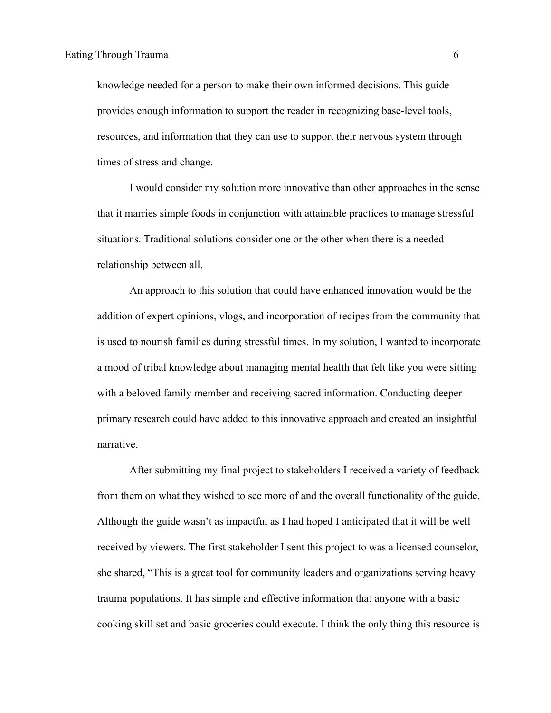knowledge needed for a person to make their own informed decisions. This guide provides enough information to support the reader in recognizing base-level tools, resources, and information that they can use to support their nervous system through times of stress and change.

I would consider my solution more innovative than other approaches in the sense that it marries simple foods in conjunction with attainable practices to manage stressful situations. Traditional solutions consider one or the other when there is a needed relationship between all.

An approach to this solution that could have enhanced innovation would be the addition of expert opinions, vlogs, and incorporation of recipes from the community that is used to nourish families during stressful times. In my solution, I wanted to incorporate a mood of tribal knowledge about managing mental health that felt like you were sitting with a beloved family member and receiving sacred information. Conducting deeper primary research could have added to this innovative approach and created an insightful narrative.

After submitting my final project to stakeholders I received a variety of feedback from them on what they wished to see more of and the overall functionality of the guide. Although the guide wasn't as impactful as I had hoped I anticipated that it will be well received by viewers. The first stakeholder I sent this project to was a licensed counselor, she shared, "This is a great tool for community leaders and organizations serving heavy trauma populations. It has simple and effective information that anyone with a basic cooking skill set and basic groceries could execute. I think the only thing this resource is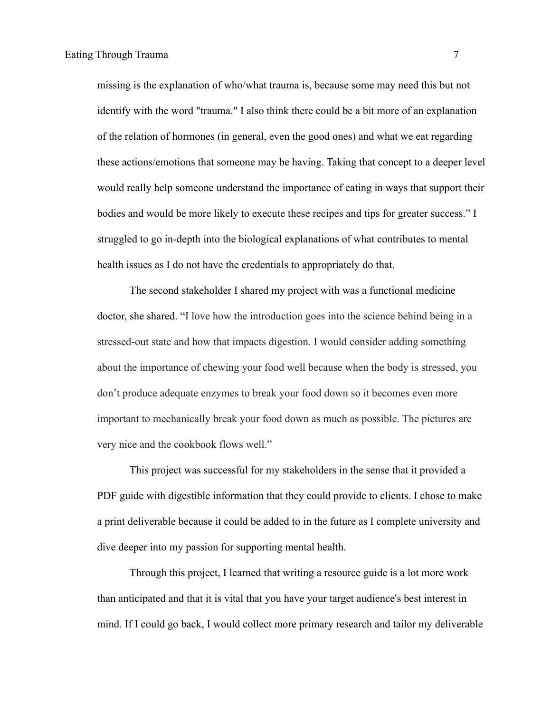missing is the explanation of who/what trauma is, because some may need this but not identify with the word "trauma." I also think there could be a bit more of an explanation of the relation of hormones (in general, even the good ones) and what we eat regarding these actions/emotions that someone may be having. Taking that concept to a deeper level would really help someone understand the importance of eating in ways that support their bodies and would be more likely to execute these recipes and tips for greater success." I struggled to go in-depth into the biological explanations of what contributes to mental health issues as I do not have the credentials to appropriately do that.

The second stakeholder I shared my project with was a functional medicine doctor, she shared. "I love how the introduction goes into the science behind being in a stressed-out state and how that impacts digestion. I would consider adding something about the importance of chewing your food well because when the body is stressed, you don't produce adequate enzymes to break your food down so it becomes even more important to mechanically break your food down as much as possible. The pictures are very nice and the cookbook flows well."

This project was successful for my stakeholders in the sense that it provided a PDF guide with digestible information that they could provide to clients. I chose to make a print deliverable because it could be added to in the future as I complete university and dive deeper into my passion for supporting mental health.

Through this project, I learned that writing a resource guide is a lot more work than anticipated and that it is vital that you have your target audience's best interest in mind. If I could go back, I would collect more primary research and tailor my deliverable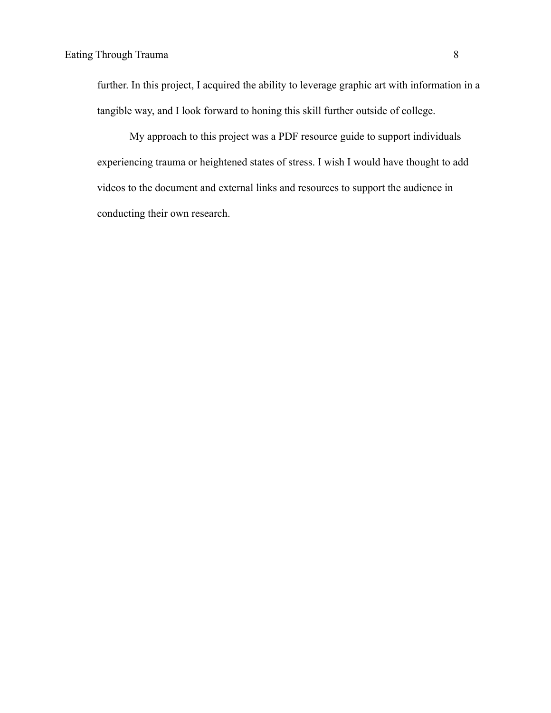further. In this project, I acquired the ability to leverage graphic art with information in a tangible way, and I look forward to honing this skill further outside of college.

My approach to this project was a PDF resource guide to support individuals experiencing trauma or heightened states of stress. I wish I would have thought to add videos to the document and external links and resources to support the audience in conducting their own research.